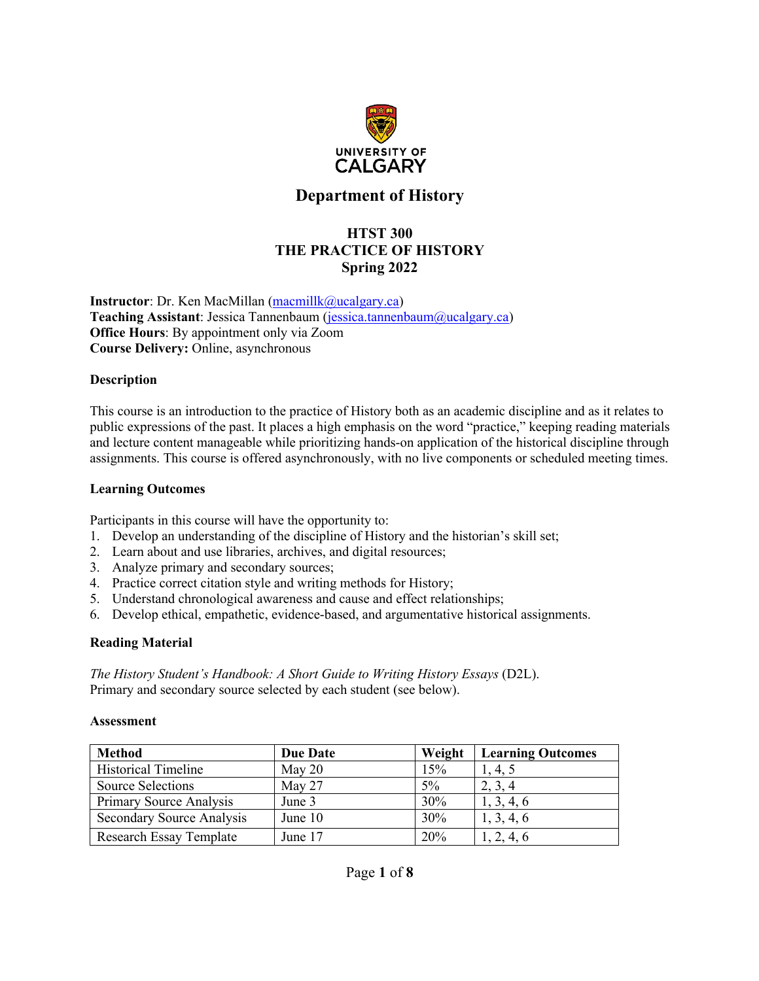

## **Department of History**

## **HTST 300 THE PRACTICE OF HISTORY Spring 2022**

**Instructor**: Dr. Ken MacMillan (macmillk@ucalgary.ca) **Teaching Assistant**: Jessica Tannenbaum (jessica.tannenbaum@ucalgary.ca) **Office Hours**: By appointment only via Zoom **Course Delivery:** Online, asynchronous

#### **Description**

This course is an introduction to the practice of History both as an academic discipline and as it relates to public expressions of the past. It places a high emphasis on the word "practice," keeping reading materials and lecture content manageable while prioritizing hands-on application of the historical discipline through assignments. This course is offered asynchronously, with no live components or scheduled meeting times.

#### **Learning Outcomes**

Participants in this course will have the opportunity to:

- 1. Develop an understanding of the discipline of History and the historian's skill set;
- 2. Learn about and use libraries, archives, and digital resources;
- 3. Analyze primary and secondary sources;
- 4. Practice correct citation style and writing methods for History;
- 5. Understand chronological awareness and cause and effect relationships;
- 6. Develop ethical, empathetic, evidence-based, and argumentative historical assignments.

#### **Reading Material**

*The History Student's Handbook: A Short Guide to Writing History Essays* (D2L). Primary and secondary source selected by each student (see below).

#### **Assessment**

| <b>Method</b>                  | <b>Due Date</b> | Weight     | <b>Learning Outcomes</b> |
|--------------------------------|-----------------|------------|--------------------------|
| <b>Historical Timeline</b>     | May 20          | 15%        | 1, 4, 5                  |
| <b>Source Selections</b>       | May $27$        | $5\%$      | 2, 3, 4                  |
| Primary Source Analysis        | June 3          | 30%        | 1, 3, 4, 6               |
| Secondary Source Analysis      | June 10         | 30%        | 1, 3, 4, 6               |
| <b>Research Essay Template</b> | June 17         | <b>20%</b> | 1, 2, 4, 6               |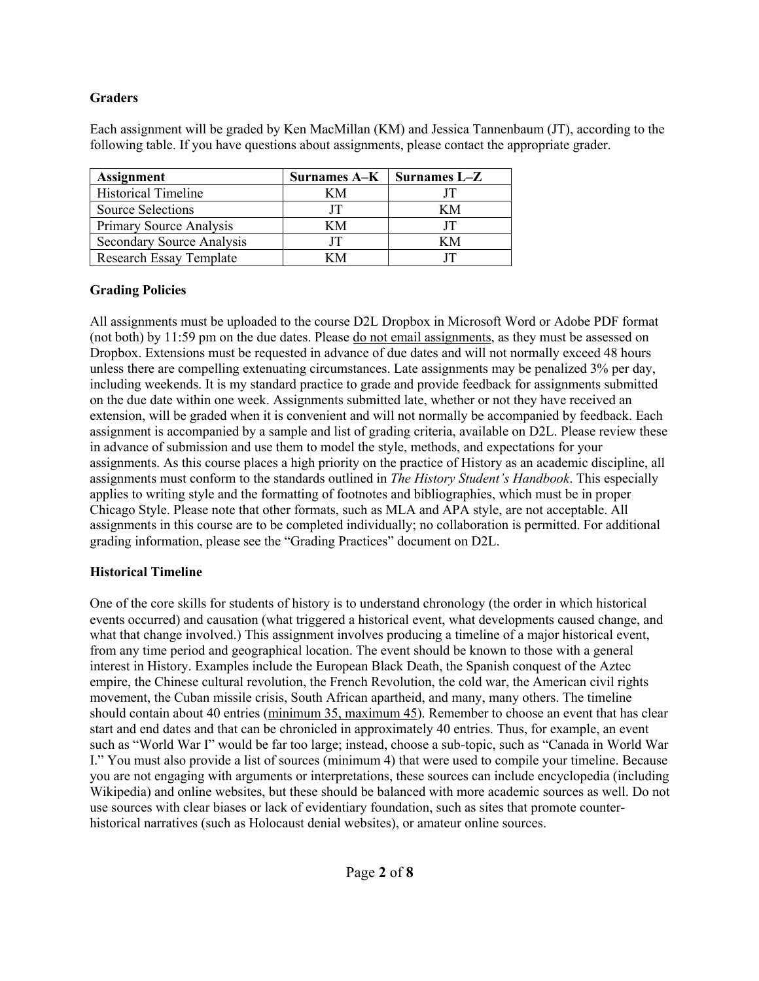### **Graders**

Each assignment will be graded by Ken MacMillan (KM) and Jessica Tannenbaum (JT), according to the following table. If you have questions about assignments, please contact the appropriate grader.

| <b>Assignment</b>              | Surnames $A-K$   Surnames $L-Z$ |    |
|--------------------------------|---------------------------------|----|
| <b>Historical Timeline</b>     | KМ                              |    |
| Source Selections              |                                 | ĸм |
| <b>Primary Source Analysis</b> | KМ                              |    |
| Secondary Source Analysis      |                                 | ĸм |
| <b>Research Essay Template</b> |                                 |    |

### **Grading Policies**

All assignments must be uploaded to the course D2L Dropbox in Microsoft Word or Adobe PDF format (not both) by 11:59 pm on the due dates. Please do not email assignments, as they must be assessed on Dropbox. Extensions must be requested in advance of due dates and will not normally exceed 48 hours unless there are compelling extenuating circumstances. Late assignments may be penalized 3% per day, including weekends. It is my standard practice to grade and provide feedback for assignments submitted on the due date within one week. Assignments submitted late, whether or not they have received an extension, will be graded when it is convenient and will not normally be accompanied by feedback. Each assignment is accompanied by a sample and list of grading criteria, available on D2L. Please review these in advance of submission and use them to model the style, methods, and expectations for your assignments. As this course places a high priority on the practice of History as an academic discipline, all assignments must conform to the standards outlined in *The History Student's Handbook*. This especially applies to writing style and the formatting of footnotes and bibliographies, which must be in proper Chicago Style. Please note that other formats, such as MLA and APA style, are not acceptable. All assignments in this course are to be completed individually; no collaboration is permitted. For additional grading information, please see the "Grading Practices" document on D2L.

## **Historical Timeline**

One of the core skills for students of history is to understand chronology (the order in which historical events occurred) and causation (what triggered a historical event, what developments caused change, and what that change involved.) This assignment involves producing a timeline of a major historical event, from any time period and geographical location. The event should be known to those with a general interest in History. Examples include the European Black Death, the Spanish conquest of the Aztec empire, the Chinese cultural revolution, the French Revolution, the cold war, the American civil rights movement, the Cuban missile crisis, South African apartheid, and many, many others. The timeline should contain about 40 entries (minimum 35, maximum 45). Remember to choose an event that has clear start and end dates and that can be chronicled in approximately 40 entries. Thus, for example, an event such as "World War I" would be far too large; instead, choose a sub-topic, such as "Canada in World War I." You must also provide a list of sources (minimum 4) that were used to compile your timeline. Because you are not engaging with arguments or interpretations, these sources can include encyclopedia (including Wikipedia) and online websites, but these should be balanced with more academic sources as well. Do not use sources with clear biases or lack of evidentiary foundation, such as sites that promote counterhistorical narratives (such as Holocaust denial websites), or amateur online sources.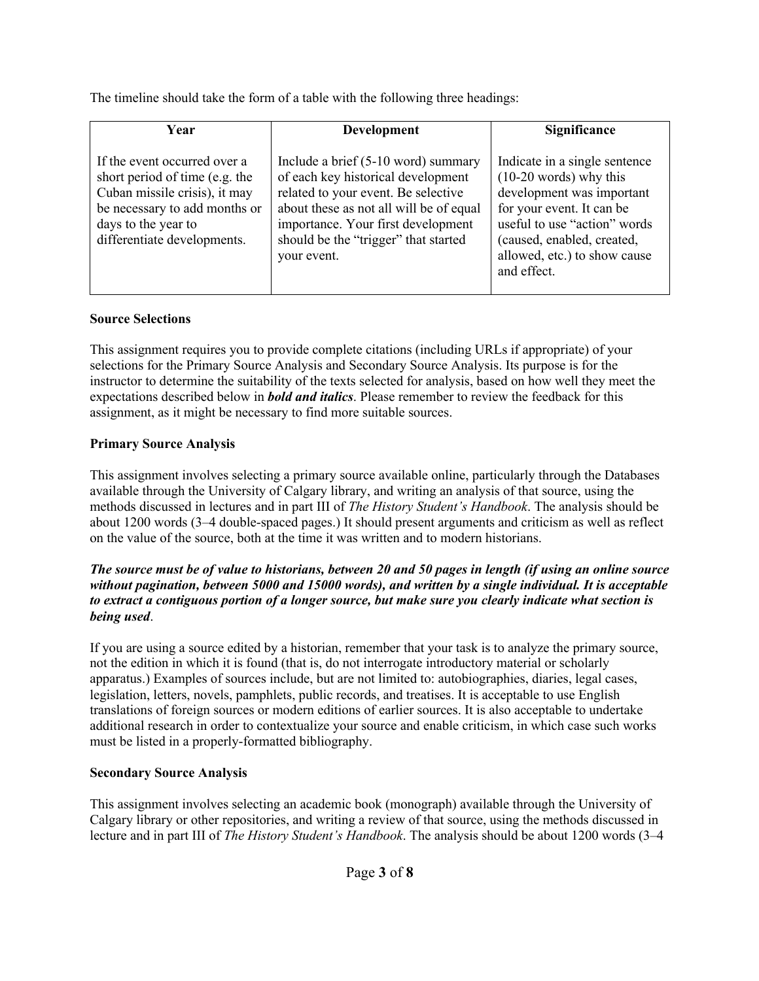The timeline should take the form of a table with the following three headings:

| <b>Year</b>                                                                                                                                                                            | Development                                                                                                                                                                                                                                              | Significance                                                                                                                                                                                                                     |
|----------------------------------------------------------------------------------------------------------------------------------------------------------------------------------------|----------------------------------------------------------------------------------------------------------------------------------------------------------------------------------------------------------------------------------------------------------|----------------------------------------------------------------------------------------------------------------------------------------------------------------------------------------------------------------------------------|
| If the event occurred over a<br>short period of time (e.g. the<br>Cuban missile crisis), it may<br>be necessary to add months or<br>days to the year to<br>differentiate developments. | Include a brief (5-10 word) summary<br>of each key historical development<br>related to your event. Be selective<br>about these as not all will be of equal<br>importance. Your first development<br>should be the "trigger" that started<br>your event. | Indicate in a single sentence<br>$(10-20$ words) why this<br>development was important<br>for your event. It can be<br>useful to use "action" words<br>(caused, enabled, created,<br>allowed, etc.) to show cause<br>and effect. |

## **Source Selections**

This assignment requires you to provide complete citations (including URLs if appropriate) of your selections for the Primary Source Analysis and Secondary Source Analysis. Its purpose is for the instructor to determine the suitability of the texts selected for analysis, based on how well they meet the expectations described below in *bold and italics*. Please remember to review the feedback for this assignment, as it might be necessary to find more suitable sources.

## **Primary Source Analysis**

This assignment involves selecting a primary source available online, particularly through the Databases available through the University of Calgary library, and writing an analysis of that source, using the methods discussed in lectures and in part III of *The History Student's Handbook*. The analysis should be about 1200 words (3–4 double-spaced pages.) It should present arguments and criticism as well as reflect on the value of the source, both at the time it was written and to modern historians.

#### *The source must be of value to historians, between 20 and 50 pages in length (if using an online source without pagination, between 5000 and 15000 words), and written by a single individual. It is acceptable to extract a contiguous portion of a longer source, but make sure you clearly indicate what section is being used*.

If you are using a source edited by a historian, remember that your task is to analyze the primary source, not the edition in which it is found (that is, do not interrogate introductory material or scholarly apparatus.) Examples of sources include, but are not limited to: autobiographies, diaries, legal cases, legislation, letters, novels, pamphlets, public records, and treatises. It is acceptable to use English translations of foreign sources or modern editions of earlier sources. It is also acceptable to undertake additional research in order to contextualize your source and enable criticism, in which case such works must be listed in a properly-formatted bibliography.

# **Secondary Source Analysis**

This assignment involves selecting an academic book (monograph) available through the University of Calgary library or other repositories, and writing a review of that source, using the methods discussed in lecture and in part III of *The History Student's Handbook*. The analysis should be about 1200 words (3–4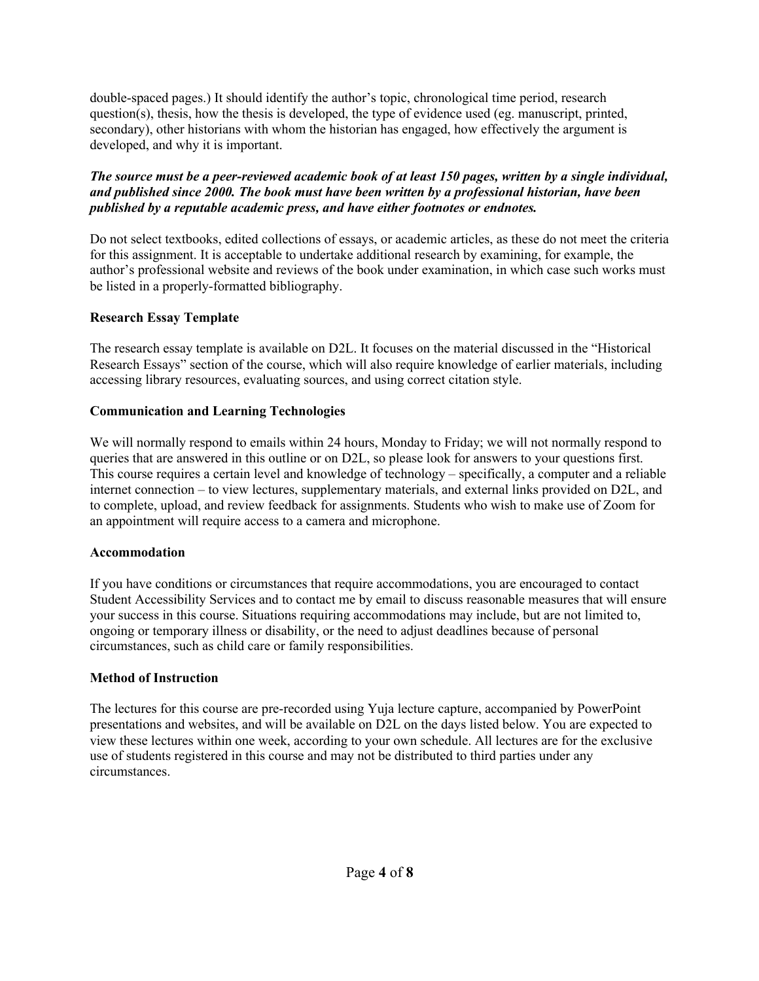double-spaced pages.) It should identify the author's topic, chronological time period, research question(s), thesis, how the thesis is developed, the type of evidence used (eg. manuscript, printed, secondary), other historians with whom the historian has engaged, how effectively the argument is developed, and why it is important.

*The source must be a peer-reviewed academic book of at least 150 pages, written by a single individual, and published since 2000. The book must have been written by a professional historian, have been published by a reputable academic press, and have either footnotes or endnotes.*

Do not select textbooks, edited collections of essays, or academic articles, as these do not meet the criteria for this assignment. It is acceptable to undertake additional research by examining, for example, the author's professional website and reviews of the book under examination, in which case such works must be listed in a properly-formatted bibliography.

## **Research Essay Template**

The research essay template is available on D2L. It focuses on the material discussed in the "Historical Research Essays" section of the course, which will also require knowledge of earlier materials, including accessing library resources, evaluating sources, and using correct citation style.

### **Communication and Learning Technologies**

We will normally respond to emails within 24 hours, Monday to Friday; we will not normally respond to queries that are answered in this outline or on D2L, so please look for answers to your questions first. This course requires a certain level and knowledge of technology – specifically, a computer and a reliable internet connection – to view lectures, supplementary materials, and external links provided on D2L, and to complete, upload, and review feedback for assignments. Students who wish to make use of Zoom for an appointment will require access to a camera and microphone.

## **Accommodation**

If you have conditions or circumstances that require accommodations, you are encouraged to contact Student Accessibility Services and to contact me by email to discuss reasonable measures that will ensure your success in this course. Situations requiring accommodations may include, but are not limited to, ongoing or temporary illness or disability, or the need to adjust deadlines because of personal circumstances, such as child care or family responsibilities.

## **Method of Instruction**

The lectures for this course are pre-recorded using Yuja lecture capture, accompanied by PowerPoint presentations and websites, and will be available on D2L on the days listed below. You are expected to view these lectures within one week, according to your own schedule. All lectures are for the exclusive use of students registered in this course and may not be distributed to third parties under any circumstances.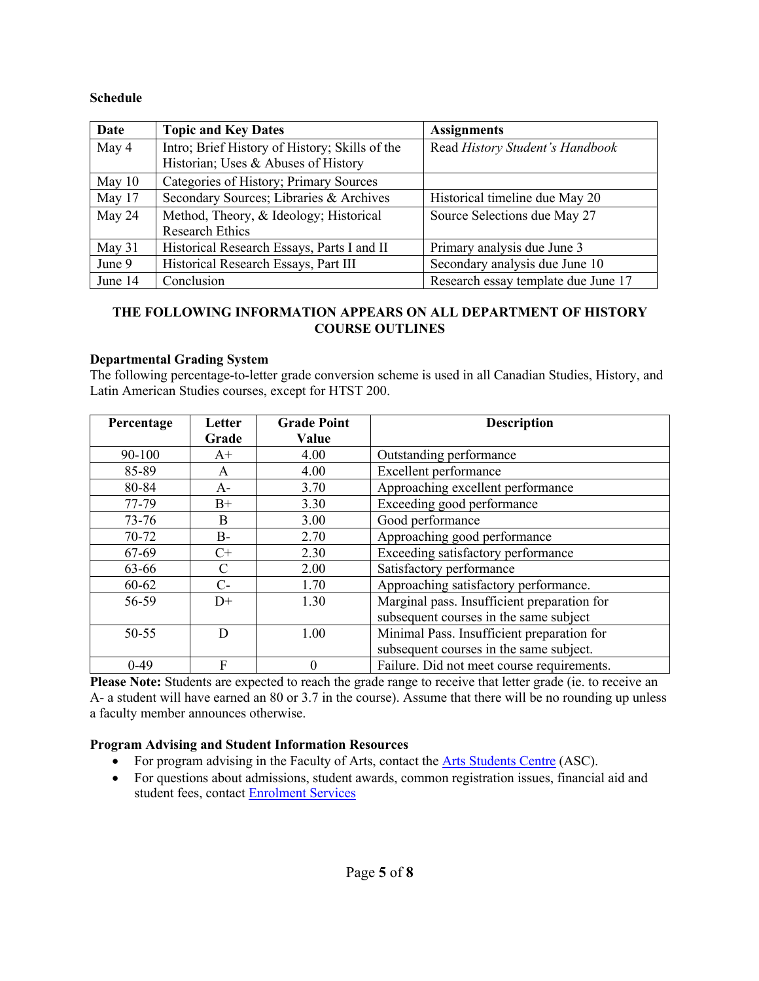#### **Schedule**

| Date    | <b>Topic and Key Dates</b>                     | <b>Assignments</b>                  |
|---------|------------------------------------------------|-------------------------------------|
| May 4   | Intro; Brief History of History; Skills of the | Read History Student's Handbook     |
|         | Historian; Uses & Abuses of History            |                                     |
| May 10  | Categories of History; Primary Sources         |                                     |
| May 17  | Secondary Sources; Libraries & Archives        | Historical timeline due May 20      |
| May 24  | Method, Theory, & Ideology; Historical         | Source Selections due May 27        |
|         | <b>Research Ethics</b>                         |                                     |
| May 31  | Historical Research Essays, Parts I and II     | Primary analysis due June 3         |
| June 9  | Historical Research Essays, Part III           | Secondary analysis due June 10      |
| June 14 | Conclusion                                     | Research essay template due June 17 |

### **THE FOLLOWING INFORMATION APPEARS ON ALL DEPARTMENT OF HISTORY COURSE OUTLINES**

#### **Departmental Grading System**

The following percentage-to-letter grade conversion scheme is used in all Canadian Studies, History, and Latin American Studies courses, except for HTST 200.

| Percentage | Letter | <b>Grade Point</b> | <b>Description</b>                          |
|------------|--------|--------------------|---------------------------------------------|
|            | Grade  | Value              |                                             |
| 90-100     | $A^+$  | 4.00               | Outstanding performance                     |
| 85-89      | A      | 4.00               | Excellent performance                       |
| 80-84      | A-     | 3.70               | Approaching excellent performance           |
| 77-79      | $B+$   | 3.30               | Exceeding good performance                  |
| 73-76      | B      | 3.00               | Good performance                            |
| 70-72      | B-     | 2.70               | Approaching good performance                |
| 67-69      | $C+$   | 2.30               | Exceeding satisfactory performance          |
| 63-66      | C      | 2.00               | Satisfactory performance                    |
| $60 - 62$  | $C$ -  | 1.70               | Approaching satisfactory performance.       |
| 56-59      | $D+$   | 1.30               | Marginal pass. Insufficient preparation for |
|            |        |                    | subsequent courses in the same subject      |
| $50 - 55$  | D      | 1.00               | Minimal Pass. Insufficient preparation for  |
|            |        |                    | subsequent courses in the same subject.     |
| $0-49$     | F      | $\Omega$           | Failure. Did not meet course requirements.  |

**Please Note:** Students are expected to reach the grade range to receive that letter grade (ie. to receive an A- a student will have earned an 80 or 3.7 in the course). Assume that there will be no rounding up unless a faculty member announces otherwise.

## **Program Advising and Student Information Resources**

- For program advising in the Faculty of Arts, contact the Arts Students Centre (ASC).
- For questions about admissions, student awards, common registration issues, financial aid and student fees, contact Enrolment Services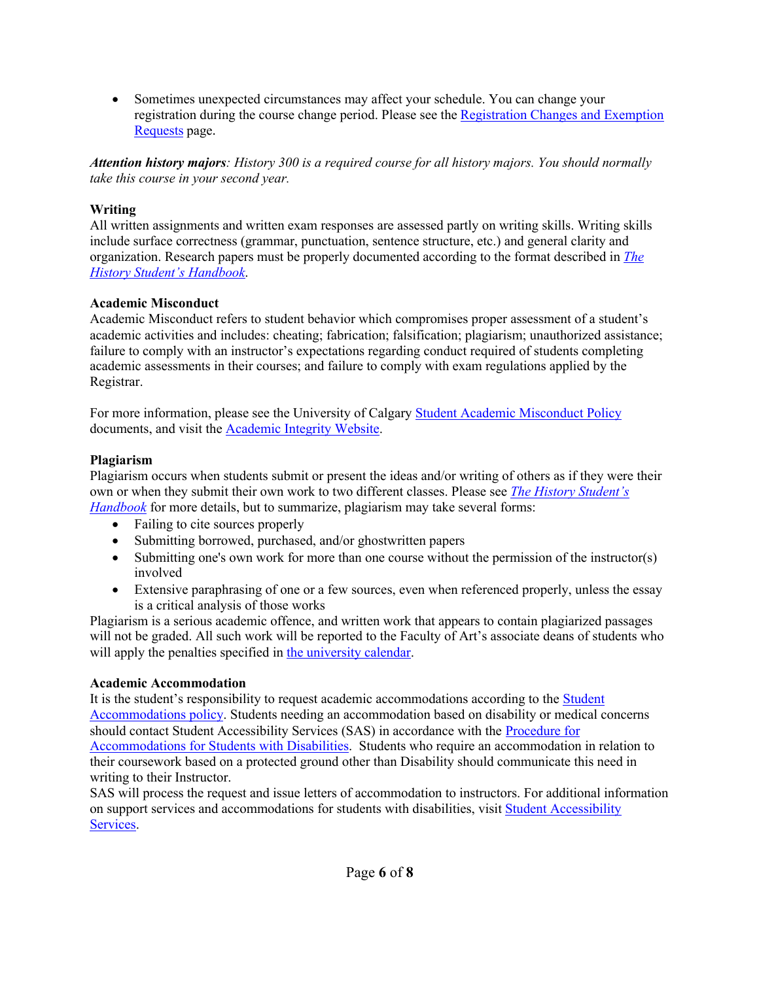• Sometimes unexpected circumstances may affect your schedule. You can change your registration during the course change period. Please see the Registration Changes and Exemption Requests page.

*Attention history majors: History 300 is a required course for all history majors. You should normally take this course in your second year.*

## **Writing**

All written assignments and written exam responses are assessed partly on writing skills. Writing skills include surface correctness (grammar, punctuation, sentence structure, etc.) and general clarity and organization. Research papers must be properly documented according to the format described in *The History Student's Handbook*.

## **Academic Misconduct**

Academic Misconduct refers to student behavior which compromises proper assessment of a student's academic activities and includes: cheating; fabrication; falsification; plagiarism; unauthorized assistance; failure to comply with an instructor's expectations regarding conduct required of students completing academic assessments in their courses; and failure to comply with exam regulations applied by the Registrar.

For more information, please see the University of Calgary Student Academic Misconduct Policy documents, and visit the Academic Integrity Website.

## **Plagiarism**

Plagiarism occurs when students submit or present the ideas and/or writing of others as if they were their own or when they submit their own work to two different classes. Please see *The History Student's Handbook* for more details, but to summarize, plagiarism may take several forms:

- Failing to cite sources properly
- Submitting borrowed, purchased, and/or ghostwritten papers
- Submitting one's own work for more than one course without the permission of the instructor(s) involved
- Extensive paraphrasing of one or a few sources, even when referenced properly, unless the essay is a critical analysis of those works

Plagiarism is a serious academic offence, and written work that appears to contain plagiarized passages will not be graded. All such work will be reported to the Faculty of Art's associate deans of students who will apply the penalties specified in the university calendar.

## **Academic Accommodation**

It is the student's responsibility to request academic accommodations according to the Student Accommodations policy. Students needing an accommodation based on disability or medical concerns should contact Student Accessibility Services (SAS) in accordance with the Procedure for Accommodations for Students with Disabilities. Students who require an accommodation in relation to their coursework based on a protected ground other than Disability should communicate this need in writing to their Instructor.

SAS will process the request and issue letters of accommodation to instructors. For additional information on support services and accommodations for students with disabilities, visit Student Accessibility Services.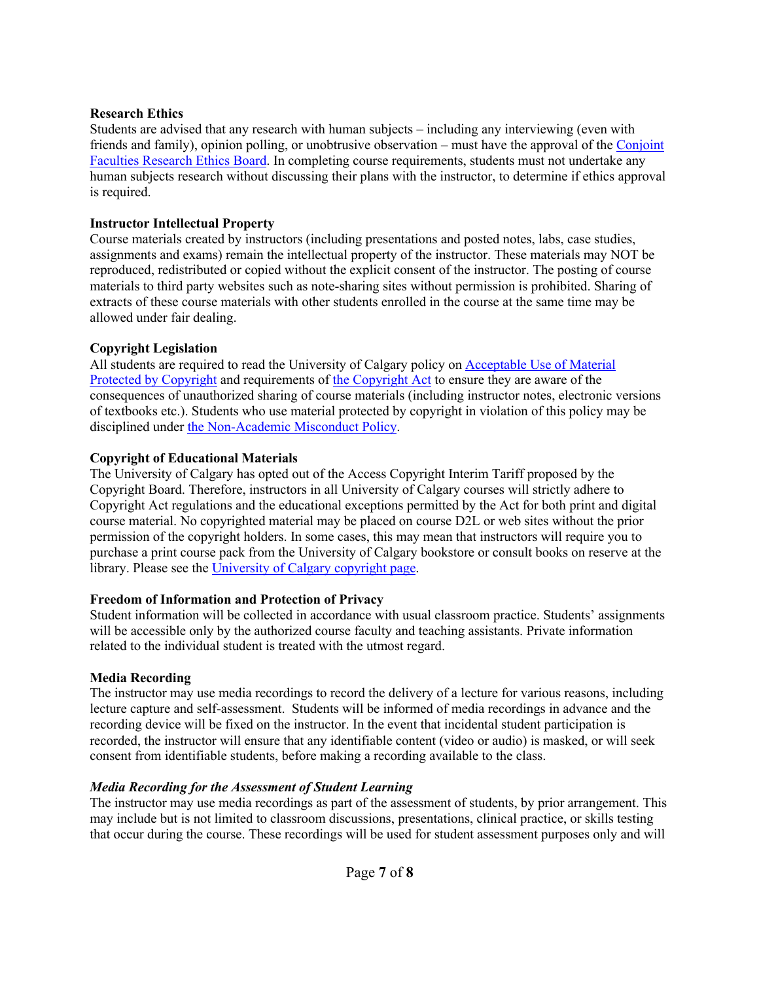### **Research Ethics**

Students are advised that any research with human subjects – including any interviewing (even with friends and family), opinion polling, or unobtrusive observation – must have the approval of the Conjoint Faculties Research Ethics Board. In completing course requirements, students must not undertake any human subjects research without discussing their plans with the instructor, to determine if ethics approval is required.

## **Instructor Intellectual Property**

Course materials created by instructors (including presentations and posted notes, labs, case studies, assignments and exams) remain the intellectual property of the instructor. These materials may NOT be reproduced, redistributed or copied without the explicit consent of the instructor. The posting of course materials to third party websites such as note-sharing sites without permission is prohibited. Sharing of extracts of these course materials with other students enrolled in the course at the same time may be allowed under fair dealing.

## **Copyright Legislation**

All students are required to read the University of Calgary policy on Acceptable Use of Material Protected by Copyright and requirements of the Copyright Act to ensure they are aware of the consequences of unauthorized sharing of course materials (including instructor notes, electronic versions of textbooks etc.). Students who use material protected by copyright in violation of this policy may be disciplined under the Non-Academic Misconduct Policy.

## **Copyright of Educational Materials**

The University of Calgary has opted out of the Access Copyright Interim Tariff proposed by the Copyright Board. Therefore, instructors in all University of Calgary courses will strictly adhere to Copyright Act regulations and the educational exceptions permitted by the Act for both print and digital course material. No copyrighted material may be placed on course D2L or web sites without the prior permission of the copyright holders. In some cases, this may mean that instructors will require you to purchase a print course pack from the University of Calgary bookstore or consult books on reserve at the library. Please see the University of Calgary copyright page.

## **Freedom of Information and Protection of Privacy**

Student information will be collected in accordance with usual classroom practice. Students' assignments will be accessible only by the authorized course faculty and teaching assistants. Private information related to the individual student is treated with the utmost regard.

# **Media Recording**

The instructor may use media recordings to record the delivery of a lecture for various reasons, including lecture capture and self-assessment. Students will be informed of media recordings in advance and the recording device will be fixed on the instructor. In the event that incidental student participation is recorded, the instructor will ensure that any identifiable content (video or audio) is masked, or will seek consent from identifiable students, before making a recording available to the class.

# *Media Recording for the Assessment of Student Learning*

The instructor may use media recordings as part of the assessment of students, by prior arrangement. This may include but is not limited to classroom discussions, presentations, clinical practice, or skills testing that occur during the course. These recordings will be used for student assessment purposes only and will